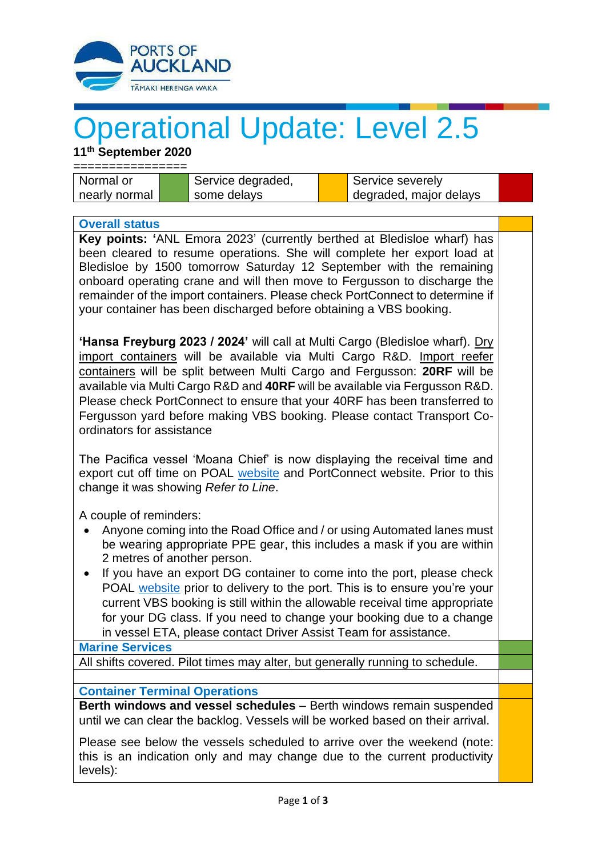

## Operational Update: Level 2.5

**11 th September 2020**

| Normal or     |  | <sup>1</sup> Service degraded, |  | ▲ Service severely     |  |
|---------------|--|--------------------------------|--|------------------------|--|
| nearly normal |  | some delays                    |  | degraded, major delays |  |

## **Overall status**

**Key points: '**ANL Emora 2023' (currently berthed at Bledisloe wharf) has been cleared to resume operations. She will complete her export load at Bledisloe by 1500 tomorrow Saturday 12 September with the remaining onboard operating crane and will then move to Fergusson to discharge the remainder of the import containers. Please check PortConnect to determine if your container has been discharged before obtaining a VBS booking.

**'Hansa Freyburg 2023 / 2024'** will call at Multi Cargo (Bledisloe wharf). Dry import containers will be available via Multi Cargo R&D. Import reefer containers will be split between Multi Cargo and Fergusson: **20RF** will be available via Multi Cargo R&D and **40RF** will be available via Fergusson R&D. Please check PortConnect to ensure that your 40RF has been transferred to Fergusson yard before making VBS booking. Please contact Transport Coordinators for assistance

The Pacifica vessel 'Moana Chief' is now displaying the receival time and export cut off time on POAL [website](http://www.poal.co.nz/) and PortConnect website. Prior to this change it was showing *Refer to Line*.

A couple of reminders:

- Anyone coming into the Road Office and / or using Automated lanes must be wearing appropriate PPE gear, this includes a mask if you are within 2 metres of another person.
- If you have an export DG container to come into the port, please check POAL [website](http://www.poal.co.nz/) prior to delivery to the port. This is to ensure you're your current VBS booking is still within the allowable receival time appropriate for your DG class. If you need to change your booking due to a change in vessel ETA, please contact Driver Assist Team for assistance.

## **Marine Services**

All shifts covered. Pilot times may alter, but generally running to schedule.

## **Container Terminal Operations**

**Berth windows and vessel schedules** – Berth windows remain suspended until we can clear the backlog. Vessels will be worked based on their arrival.

Please see below the vessels scheduled to arrive over the weekend (note: this is an indication only and may change due to the current productivity levels):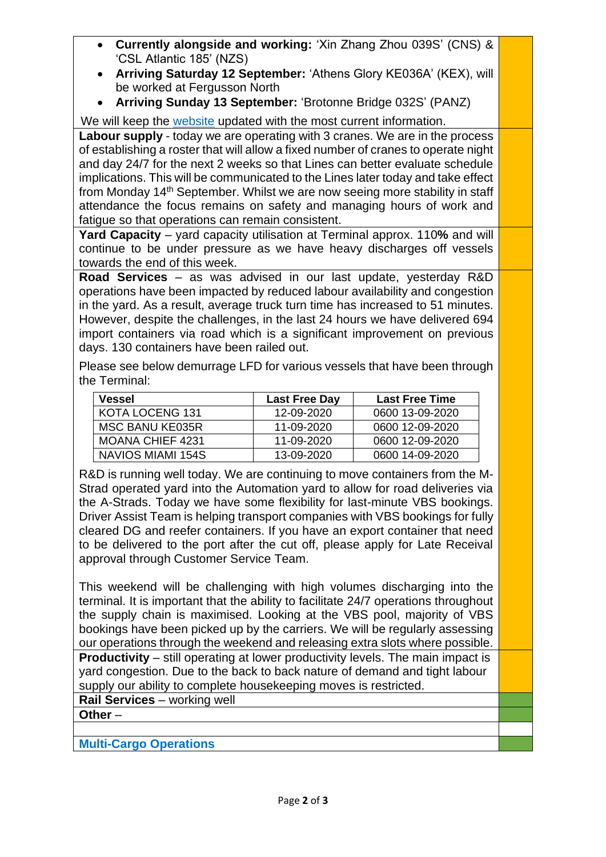- **Currently alongside and working:** 'Xin Zhang Zhou 039S' (CNS) & 'CSL Atlantic 185' (NZS)
- **Arriving Saturday 12 September:** 'Athens Glory KE036A' (KEX), will be worked at Fergusson North
- **Arriving Sunday 13 September:** 'Brotonne Bridge 032S' (PANZ)

We will keep the [website](http://www.poal.co.nz/) updated with the most current information.

**Labour supply** - today we are operating with 3 cranes. We are in the process of establishing a roster that will allow a fixed number of cranes to operate night and day 24/7 for the next 2 weeks so that Lines can better evaluate schedule implications. This will be communicated to the Lines later today and take effect from Monday 14th September. Whilst we are now seeing more stability in staff attendance the focus remains on safety and managing hours of work and fatigue so that operations can remain consistent.

**Yard Capacity** – yard capacity utilisation at Terminal approx. 110**%** and will continue to be under pressure as we have heavy discharges off vessels towards the end of this week.

**Road Services** – as was advised in our last update, yesterday R&D operations have been impacted by reduced labour availability and congestion in the yard. As a result, average truck turn time has increased to 51 minutes. However, despite the challenges, in the last 24 hours we have delivered 694 import containers via road which is a significant improvement on previous days. 130 containers have been railed out.

Please see below demurrage LFD for various vessels that have been through the Terminal:

| Vessel                  | <b>Last Free Day</b> | <b>Last Free Time</b> |
|-------------------------|----------------------|-----------------------|
| KOTA LOCENG 131         | 12-09-2020           | 0600 13-09-2020       |
| <b>MSC BANU KE035R</b>  | 11-09-2020           | 0600 12-09-2020       |
| <b>MOANA CHIEF 4231</b> | 11-09-2020           | 0600 12-09-2020       |
| NAVIOS MIAMI 154S       | 13-09-2020           | 0600 14-09-2020       |

R&D is running well today. We are continuing to move containers from the M-Strad operated yard into the Automation yard to allow for road deliveries via the A-Strads. Today we have some flexibility for last-minute VBS bookings. Driver Assist Team is helping transport companies with VBS bookings for fully cleared DG and reefer containers. If you have an export container that need to be delivered to the port after the cut off, please apply for Late Receival approval through Customer Service Team.

This weekend will be challenging with high volumes discharging into the terminal. It is important that the ability to facilitate 24/7 operations throughout the supply chain is maximised. Looking at the VBS pool, majority of VBS bookings have been picked up by the carriers. We will be regularly assessing our operations through the weekend and releasing extra slots where possible. **Productivity** – still operating at lower productivity levels. The main impact is yard congestion. Due to the back to back nature of demand and tight labour supply our ability to complete housekeeping moves is restricted.

**Rail Services** – working well

**Other** –

**Multi-Cargo Operations**